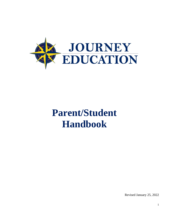

# **Parent/Student Handbook**

Revised January 25, 2022

1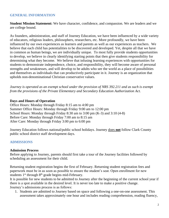#### **GENERAL INFORMATION**

**Student Mission Statement:** We have character, confidence, and compassion. We are leaders and we are college bound.

As founders, administration, and staff of Journey Education, we have been influenced by a wide variety of educators, religious leaders, philosophers, researchers, etc. More profoundly, we have been influenced by our own experiences as learners and parents as well as our experiences as teachers. We believe that each child has potentialities to be discovered and developed. Yet, despite all that we have in common as human beings, we are individually unique. To most fully provide students opportunities to develop, we believe in clearly identifying starting points that then give students responsibility for determining what they become. We believe that infusing learning experiences with opportunities for students to demonstrate independence, choice, and responsibility, they will become aware of personal strengths and weaknesses, and will develop to be adults who see the world as a place of possibilities and themselves as individuals that can productively participate in it. Journey is an organization that upholds non-denominational Christian conservative values.

*Journey is operated as an exempt school under the provision of NRS 392.211 and as such is exempt from the provisions of the Private Elementary and Secondary Education Authorization Act.*

#### **Days and Hours of Operation**

Office Hours: Monday through Friday 8:15 am to 4:00 pm Summer Office Hours: Monday through Friday 9:00 am to 12:00 pm School Hours: Monday through Friday 8:30 am to 3:00 pm (K-3) and 3:10 (4-8) Before Care: Monday through Friday 7:00 am to 8:15 am After Care: Monday through Friday 3:00 pm to 6:00 pm

Journey Education follows national/public school holidays. Journey does **not** follow Clark County public school district staff development days.

#### **ADMISSIONS**

#### **Admission Process**

Before applying to Journey, parents should first take a tour of the Journey facilities followed by scheduling an assessment for their child.

Returning student registration begins the first of February. Returning student registration fees and paperwork must be in as soon as possible to ensure the student's seat. Open enrollment for new students  $1<sup>st</sup>$  through  $8<sup>th</sup>$  grade begins mid-February.

It is possible for new students to be admitted to Journey after the beginning of the current school year if there is a spot available in the desired level. It is never too late to make a positive change. Journey's admissions process is as follows:

1. Students are admitted to Journey based on space and following a one-on-one assessment. This assessment takes approximately one hour and includes reading comprehension, reading fluency,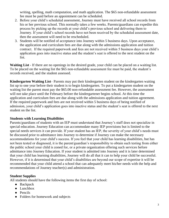writing, spelling, math computation, and math application. The \$65 non-refundable assessment fee must be paid before an appointment can be scheduled.

- 2. Before your child's scheduled assessment, Journey must have received all school records from his or her previous school. This normally takes a few weeks. Parents/guardians can expedite this process by picking up the records at your child's previous school and delivering them to Journey. If your child's school records have not been received by the scheduled assessment date, then the assessment will need to be rescheduled.
- 3. Students will be notified of acceptance into Journey within 5 business days. Upon acceptance, the application and curriculum fees are due along with the admissions application and tuition contract. If the required paperwork and fees are not received within 5 business days your child's application goes into inactive status and the student's seat is offered to the next student on the list.

**Waiting List** - If there are no openings in the desired grade, your child can be placed on a waiting list. To be placed on the waiting list the \$65 non-refundable assessment fee must be paid, the student's records received, and the student assessed.

**Kindergarten Waiting List**– Parents may put their kindergarten student on the kindergarten waiting list up to one year before their student is to begin kindergarten. To put a kindergarten student on the waiting list the parent must pay the \$65.00 non-refundable assessment fee. However, the assessment will not take place until the February before the kindergartener begins school. At this time the application and curriculum fees are due along with the admissions application and tuition agreement. If the required paperwork and fees are not received within 5 business days of being notified of admission, your child's application goes into inactive status and the student's seat is offered to the next student on the list.

#### **Students with Learning Disabilities**

Parents/guardians of students with an IEP must understand that Journey's staff does not specialize in special education. Journey Education can accommodate many IEP provisions but is limited to the special needs services it can provide. If your student has an IEP, the severity of your child's needs must be discussed prior to admittance into Journey to determine if Journey can make the necessary accommodations for your child's success. If you feel that your child has learning disabilities, but has not been tested or diagnosed, it is the parent/guardian's responsibility to obtain such testing from either the public school your child is zoned for, or a private organization offering such services before admittance into Journey Education. If your student is admitted into Journey and it is later determined that your child has learning disabilities, Journey will do all that it can to help your child be successful. However, if it is determined that your child's disabilities are beyond our scope of expertise it will be recommended that your child attend a school that can adequately meet his/her needs with the help and recommendations of Journey teacher(s) and administration.

#### **Student Supplies**

All students should have the following items the first day of school:

- Backpack
- Lunchbox
- Pencils
- Folders for homework and subjects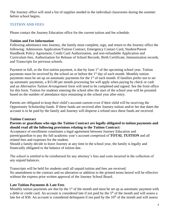The Journey office will send a list of supplies needed in the individual classrooms during the summer before school begins.

## **TUITION AND FEES**

Please contact the Journey Education office for the current tuition and fee schedule.

#### **Tuition and Fee Information**

Following admittance into Journey, the family must complete, sign, and return to the Journey office the following: Admissions Application/Tuition Contract, Emergency Contact Card, Student/Parent Handbook Policy Agreement, Credit Card Authorization, and non-refundable Application and Curriculum fees, Authorization for Release of School Records, Birth Certificate, Immunization records, and Transcripts for previous schools.

Payment in full, or the first tuition payment, is due by June  $1<sup>st</sup>$  of the upcoming school year. Tuition payments must be received by the school on or before the  $1<sup>st</sup>$  day of each month. Monthly tuition payments must be set up on automatic payments for the  $1<sup>st</sup>$  of each month. If families prefer not to set up automatic payments, a \$15.00 per month processing fee will apply when paying by check or cash and an *Alternative Tuition Arrangement* form will need to be completed and signed. See the front office for this form. Tuition for students entering the school after the start of the school year will be prorated based on the number of attendance days remaining in the school year after entry.

Parents are obligated to keep their child's account current even if their child will be receiving the Opportunity Scholarship funds. If these funds are received after Journey tuition and/or fee due dates the account is to be paid by the family and Journey will disperse a refund once these funds are received.

## **Tuition Contract**

#### **Parents or guardians who sign the Tuition Contract are legally obligated to tuition payments and should read all the following provisions relating to the Tuition Contract:**

Acceptance of enrollment constitutes a legal agreement between Journey Education and parent/guardian to pay the full academic year's account comprised of **TOTAL TUITION** and all related fees and expenses for the student.

Should a family decide to leave Journey at any time in the school year, the family is legally and financially obligated to the balance of tuition due.

The school is entitled to be reimbursed for any attorney's fees and costs incurred in the collection of any unpaid balances.

Transcripts will be held for students until all unpaid tuition and fees are received. No amendment to the contract and no alteration or addition to the printed terms hereof will be effective without the express prior written approval of the Journey School Board.

## **Late Tuition Payments & Late Fees**

Monthly tuition payments are due by the  $1<sup>st</sup>$  of the month and must be set up as automatic payment with a debit or credit card. An account is considered late if not paid by the 5<sup>th</sup> of the month and will assess a late fee of \$30. An account is considered delinquent if not paid by the  $10<sup>th</sup>$  of the month and will assess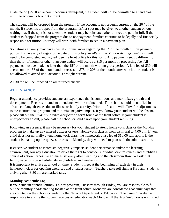a late fee of \$75. If an account becomes delinquent, the student will not be permitted to attend class until the account is brought current.

The student will be dropped from the program if the account is not brought current by the  $20<sup>th</sup>$  of the month. If student is dropped from the program his/her spot may be given to another student on our waiting list. If the spot is not taken, the student may be reinstated after all fees are paid in full. If the student is dropped from the program due to nonpayment, families continue to be legally and financially responsible for tuition. Journey will work with families to set up a payment plan.

Sometimes a family may have special circumstances regarding the  $1<sup>st</sup>$  of the month tuition payment policy. To have any changes to the date of this policy an *Alternative Tuition Arrangement* form will need to be completed and signed. See the front office for this form. Any payments set up differently than the  $1<sup>st</sup>$  of month or other than auto deduct will accrue a \$15 per monthly processing fee. All payments must be made no later than the  $15<sup>th</sup>$  of the month with no grace period. A late fee of \$30 will accrue on the  $16<sup>th</sup>$  of the month and increases to \$75 on  $20<sup>th</sup>$  of the month, after which time student is not allowed to attend until account is brought current.

A \$30 fee will be imposed on all returned checks.

# **ATTENDANCE**

Regular attendance provides students an experience that is continuous and maximizes growth and development. Records of student attendance will be maintained. The school should be notified in advance of any absences due to illness or family activity. Prior notification will allow for adjustments to the instructional program and minimize negative impact. If you know your student will be absent, please fill out the *Student Absence Notification* form found at the front office. If your student is unexpectedly absent, please call the school or send a note upon your student returning.

Following an absence, it may be necessary for your student to attend homework class or the Monday program to make up any missed quizzes or tests. Homework class is from dismissal to 4:00 pm. If your child does not normally attend homework class, the homework class fee of \$10.00 will apply. If the student is making up the quizzes or tests on Monday, they will need to plan with the administration.

If excessive student absenteeism negatively impacts student performance and/or the learning environment, Journey Education reserves the right to consider individual circumstances and establish a course of action. Excessive absences severely affect learning and the classroom flow. We ask that family vacations be scheduled during holidays and weekends.

It is important to arrive at school on time. Students meet at the beginning of each day in their homeroom class for opening exercises and a values lesson. Teachers take roll right at 8:30 am. Students arriving after 8:30 am are marked tardy.

## **Monday Academic Log**

If your student attends Journey's 4-day program, Tuesday through Friday, you are responsible to fill out the monthly *Academic Log* located at the front office. Mondays are considered academic days that are counted on the school calendar by the Nevada Department of Education. The parent/guardian is responsible to ensure the student receives an education each Monday. If the *Academic Log* is not turned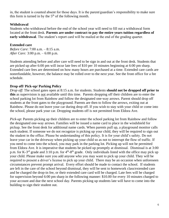in, the student is counted absent for those days. It is the parent/guardian's responsibility to make sure this form is turned in by the  $5<sup>th</sup>$  of the following month.

#### **Withdrawal**

Students who withdrawal before the end of the school year will need to fill out a withdrawal form located at the front desk. **Parents are under contract to pay the entire years tuition regardless of early withdrawal**. The student's report card will be mailed at the end of the grading quarter.

#### **Extended care**

*Before Care*: 7:00 a.m. – 8:15 a.m. *After Care:* 3:00 p.m. – 6:00 p.m.

Students attending before and after care will need to be sign in and out at the front desk. Students that are picked up after 6:00 pm will incur late fees of \$10 per 10 minutes beginning at 6:00 pm sharp. Extended care fees are determined on how many hours are purchased at a time. Extended care cards are nonrefundable, however, the balance may be rolled over to the next year. See the front office for a fee schedule.

#### **Drop off/ Pick-up/ Parking Policy**

*Drop off*: The school gates open at 8:15 a.m. for students. Students **should not be dropped off prior to this** as supervision is not available until this time. Parents dropping off their children are to enter the school parking lot from Rainbow and follow the designated one-way arrows. Parent should drop off students at the front gates to the playground. Parents are then to follow the arrows, exiting out at Rainbow. Please do not leave your car during drop off. If you wish to stay with your child or come into the school, please park your car. Dropping students off is not permitted from Eldora Ave.

*Pick-up*: Parents picking up their children are to enter the school parking lot from Rainbow and follow the designated one-way arrows. Families will be issued a name card to place in the windshield for pickup. See the front desk for additional name cards. When parents pull up, a playground monitor calls each student. If someone we do not recognize is picking up your child, they will be required to sign out the student in the office. Please be understanding of this policy. It is for your child's safety. Do not leave your car in the driveway when picking up your child so as not to interrupt the flow of traffic. If you need to come into the school, you may park in the parking lot. Picking up will not be permitted from Eldora Ave. It is imperative that students be picked up promptly at dismissal. Dismissal is at 3:00 p.m. for K-3<sup>rd</sup> grade and 3:10 p.m. for 4<sup>th</sup>-8<sup>th</sup> grade. Only individuals listed with the office may pick up your child. Please make sure you add anyone who you may want to pick up your child. They will be required to present a driver's license to pick up your child. There may be an occasion when unforeseen circumstances prevent prompt arrival. Every effort should be made to contact the school. If students are left in the care of the school beyond dismissal, they will be sent to homework class/extended care and be charged the drop-in fee, or their extended care card will be charged. Late fees will be charged for supervision beyond 6:00 pm sharp in the following manner: \$10.00 for every 10 minutes charged to your account and due the next school day. Parents picking up students late will have to come into the building to sign their student out.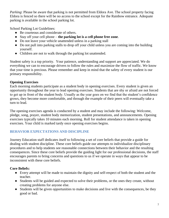*Parking*: Please be aware that parking is not permitted from Eldora Ave. The school property facing Eldora is fenced so there will be no access to the school except for the Rainbow entrance. Adequate parking is available in the school parking lot.

School Parking Lot Guidelines:

- Be courteous and considerate of others.
- Stay off your cell phone **the parking lot is a cell phone free zone**.
- Do not leave your vehicle unattended unless in a parking stall
- Do not pull into parking stalls to drop off your child unless you are coming into the building yourself.
- Children are not to walk through the parking lot unattended.

Student safety is a top priority. Your patience, understanding and support are appreciated. We do everything we can to encourage drivers to follow the rules and maximize the flow of traffic. We know that your time is precious. Please remember and keep in mind that the safety of every student is our primary responsibility.

# **Opening Exercises**

Each morning students participate as a student body in opening exercises. Every student is given an opportunity throughout the year to lead opening exercises. Students that are shy or afraid are not forced to get up in front of the student body. Usually as the year goes on we find that the student's confidence grows, they become more comfortable, and through the example of their peers will eventually take a turn to lead.

The opening exercises agenda is conducted by a student and may include the following: Welcome, pledge, song, prayer, student body memorization, student presentations, and announcements. Opening exercises typically takes 10 minutes each morning. Roll for student attendance is taken in opening exercises. Your child is marked tardy once opening exercises begins.

# **BEHAVIOR EXPECTATIONS AND DISCIPLINE**

Journey Education staff dedicates itself to following a set of core beliefs that provide a guide for dealing with student discipline. These core beliefs guide our attempts to individualize disciplinary procedures and to help students see reasonable connections between their behavior and the resulting consequences. Since these core beliefs provide the guiding light for our professional decisions, the staff encourages parents to bring concerns and questions to us if we operate in ways that appear to be inconsistent with these core beliefs.

# **Core Beliefs:**

- Every attempt will be made to maintain the dignity and self-respect of both the student and the teacher.
- Students will be guided and expected to solve their problems, or the ones they create, without creating problems for anyone else.
- Students will be given opportunities to make decisions and live with the consequences, be they good or bad.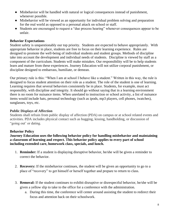- Misbehavior will be handled with natural or logical consequences instead of punishment, whenever possible.
- Misbehavior will be viewed as an opportunity for individual problem solving and preparation for the real world as opposed to a personal attack on school or staff.
- Students are encouraged to request a "due process hearing" whenever consequences appear to be unfair.

## **Behavior Expectations**

Student safety is unquestionably our top priority. Students are expected to behave appropriately. With appropriate behavior in place, students are free to focus on their learning experience. Rules are designed to promote the well-being of individual students and student groups. Methods of discipline take into account the development and individual needs of students. Discipline is viewed by staff as a component of the curriculum. Students will make mistakes. Our responsibility will be to help students learn and mature from these experiences. Journey Education will not utilize corporal punishment, or discipline designed to embarrass, humiliate, or demean.

Our primary rule is this: "When I am at school I behave like a student." Written in this way, the rule is designed to focus student attention on their role as a student. The role of the student is one of learning. Learning requires that several behaviors consistently be in place. Students, for example, must act responsibly, with discipline and integrity. It should go without saying that in a learning environment there is no room for nuisance items. When unrelated to instruction or school activity, a list of nuisance items would include hats, personal technology (such as ipods, mp3 players, cell phones, iwatches), sunglasses, toys, etc.

## **Public Displays of Affection**

Students shall refrain from public display of affection (PDA) on campus or at school related events and activities. PDA includes physical contact such as hugging, kissing, handholding, or discussion of "going out' or dating.

## **Behavior Policy**

**Journey Education uses the following behavior policy for handling misbehavior and maintaining a classroom of learning and respect. This behavior policy applies to every part of school including extended care, homework class, specials, and lunch.**

- 1. **Reminder:** If a student is displaying disruptive behavior, he/she will be given a reminder to correct the behavior.
- 2. **Recovery:** If the misbehavior continues, the student will be given an opportunity to go to a place of "recovery" to get himself or herself together and prepare to return to class.
- 3. **Removal:** If the student continues to exhibit disruptive or disrespectful behavior, he/she will be given a yellow slip to take to the office for a conference with the administration.
	- a. During this time, the conference will center around assisting the student to redirect their focus and attention back on their schoolwork.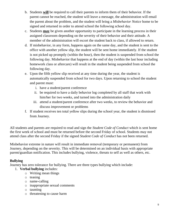- b. Students **will** be required to call their parents to inform them of their behavior. If the parent cannot be reached, the student will leave a message, the administration will email the parent about the problem, and the student will bring a *Misbehavior Notice* home to be signed and returned in order to attend school the following school day.
- c. Students **may** be given another opportunity to participate in the learning process in their assigned classroom depending on the severity of their behavior and their attitude. A member of the administration will escort the student back to class, if allowed to return.
- d. If misbehavior, in any form, happens again on the same day, and the student is sent to the office with another yellow slip, the student will be sent home immediately. If the student is not picked up promptly (within the hour), then the student is suspended from school the following day. Misbehavior that happens at the end of day (within the last hour including homework class or aftercare) will result in the student being suspended from school the following day.
- e. Upon the fifth yellow slip received at any time during the year, the student is automatically suspended from school for two days. Upon returning to school the student and parent must:
	- i. have a student/parent conference
	- ii. be required to have a daily behavior log completed by all staff that work with him/her for two weeks, and turned into the administration daily
	- iii. attend a student/parent conference after two weeks, to review the behavior and discuss improvement or problems
- f. If student receives ten total yellow slips during the school year, the student is dismissed from Journey.

All students and parents are required to read and sign the *Student Code of Conduct* which is sent home the first week of school and must be returned before the second Friday of school. Students may not attend class after the second Friday if the signed *Student Code of Conduct* has not been returned.

Misbehavior extreme in nature will result in immediate removal (temporary or permanent) from Journey, depending on the severity. This will be determined on an individual basis with appropriate parent/guardian notification. This includes bullying, violence, threats to self as well as others, etc.

# **Bullying**

Journey has zero tolerance for bullying. There are three types bullying which include:

- 1. **Verbal bullying** includes:
	- o Writing mean things
	- o teasing
	- o name-calling
	- o inappropriate sexual comments
	- o taunting
	- o threatening to cause harm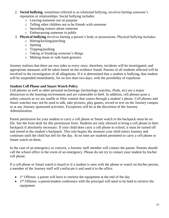- 2. **Social bullying**, sometimes referred to as relational bullying, involves hurting someone's reputation or relationships. Social bullying includes:
	- o Leaving someone out on purpose
	- o Telling other children not to be friends with someone
	- o Spreading rumors about someone
	- o Embarrassing someone in public
- 3. **Physical bullying** involves hurting a person's body or possessions. Physical bullying includes:
	- o Hitting/kicking/pinching
	- o Spitting
	- o Tripping/pushing
	- o Taking or breaking someone's things
	- o Making mean or rude hand gestures

Journey realizes that there are two sides to every story, therefore, incidents will be investigated, and appropriate measures will be taken based on the evidence found. Parents of all students affected will be involved in the investigation of all allegations. If it is determined that a student is bullying, that student will be suspended immediately, for no less than two days, with the possibility of expulsion.

## **Student Cell Phone and Smart Watch Policy**

Cell phones as well as other personal technology (technology watches, iPads, etc) are a major distraction to the learning environment and are vulnerable to theft. In addition, cell phones pose a safety concern as we are unable to filter content that comes through a student's phone. Cell phones and Smart watches may not be used to talk, take pictures, play games, record or text on the Journey campus or at any Journey sponsored activities. Exceptions will be at the discretion of the Journey Administration.

Parent permission for your student to carry a cell phone or Smart watch in the backpack must be on file. See the front desk for this permission form. Students are only allowed to bring a cell phone in their backpack if absolutely necessary. If your child does carry a cell phone to school, it must be turned off and stored in the student's backpack. This rule begins the moment your child enters Journey and continues until the child has left for the day. At no time are students permitted to carry a cell phone or Smart watch on them.

In the case of an emergency or concern, a Journey staff member will contact the parent. Parents should call the school office in the event of an emergency. Please do not try to contact your student by his/her cell phone.

If a cell phone or Smart watch is heard or if a student is seen with the phone or watch on his/her person, a member of the Journey staff will confiscate it and send it to the office.

- $\bullet$  1<sup>st</sup> Offense: a parent will have to retrieve the equipment at the end of the day
- $\bullet$  2<sup>nd</sup> Offense: a parent/student conference with the principal will need to be held to retrieve the equipment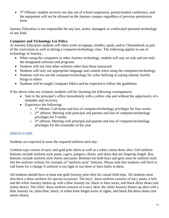• 3<sup>rd</sup> Offense: student receives one day out of school suspension, parent/student conference, and the equipment will not be allowed on the Journey campus regardless of previous permission form.

Journey Education is not responsible for any lost, stolen, damaged, or confiscated personal technology of any kind.

# **Computer and Technology Use Policy**

At Journey Education students will often work on laptops, kindles, ipads, and/or Chromebook as part of the curriculum as well as during a computer/technology class. The following applies to use of technology at Journey:

- When using the computers or other Journey technology, student will stay on task and use only the designated software and programs
- Students will not visit other websites other than those instructed
- Students will only use appropriate language and content when using the computers/technology
- Students will not use the computer/technology for cyber bullying or saying unkind, hurtful things to others
- Students will be taught Computer Ethics and be expected to follow the guidelines

If the above rules are violated, students will be choosing the following consequences:

- Sent to the principal's office immediately with a yellow slip and without the opportunity of a reminder and recovery.
- Experience the following:
	- o 1<sup>st</sup> offense: Call home and loss of computer/technology privileges for four weeks
	- $\circ$  2<sup>nd</sup> offense: Meeting with principal and parents and loss of computer/technology privileges for 9 weeks
	- $\circ$  3<sup>rd</sup> offense: Meeting with principal and parents and loss of computer/technology privileges for the remainder of the year

# **DRESS CODE**

Students are expected to wear the required uniform each day.

Uniform tops consist of navy and gold polo shirts as well as a white cotton dress shirt. Girl uniform bottoms include uniform style pants, capris, jumpers, shorts, and skirts that are fingertip length. Boy bottoms include uniform style shorts and pants. Bottoms for both boys and girls must be uniform style. See the uniform website for example of "uniform style" bottoms. Please note that students will have to call home for a change if uniform is too tight or too short or have holes in them.

All students should have at least one gold Journey polo shirt for casual field trips. All students must also have a dress uniform for special occasions. The boys' dress uniform consists of navy pants, a belt, and the white Journey button up with a blue Journey tie, black or blue socks, and black dress shoes (not tennis shoes). The Girls' dress uniform consists of a navy skirt, the white Journey button up shirt with a blue Journey tie, plain blue, black, or white knee length socks or tights, and black flat dress shoes (not tennis shoes).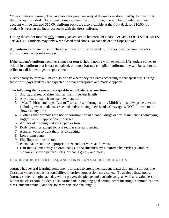\*Dress Uniform Journey Ties: available for purchase **only** at the uniform store used by Journey or at the Journey front desk. If a student comes without the uniform tie, one will be provided, and your account will be charged \$15.00. Uniform socks are also available at the front desk for \$10.00 if a student is wearing the incorrect socks with the dress uniform.

During the cooler months **only** Journey jackets are to be worn. **PLEASE LABEL YOUR STUDENTS JACKETS**. Students may only wear closed toed shoes. No sandals or flip flops allowed.

All uniform items are to be purchased at the uniform store used by Journey. See the front desk for uniform purchasing information.

If the student's uniform becomes stained or torn it should not be worn to school. If a student comes to school in a uniform that is torn or stained, or a non-Journey compliant uniform, they will be sent to the office to call home to get a replacement.

Occasionally Journey will have a spirit day where they can dress according to that spirit day. During these spirit days students are expected to wear appropriate and modest apparel.

## **The following items are not acceptable school attire at any time:**

- 1. Shorts, dresses, or skirts shorter than finger-tip length
- 2. Any apparel made from spandex material
- 3. "Mesh" shirts, tank tops, "cut off" tops, or see-through shirts. Midriffs must always be covered including when students are seated and/or raising their hands. Cleavage is NOT allowed to be shown at any time
- 4. Clothing that promotes the use or consumption of alcohol, drugs or sexual innuendos conveying suggestive or inappropriate messages
- 5. Articles of clothing that are ripped or torn
- 6. Body piercings except for one regular size ear piercing
- 7. Apparel worn so tight that it is distracting
- 8. Low riding pants
- 9. Flip-flops or house shoes
- 10. Pants that are not the appropriate size and not worn at the waist
- 11.Hair that is unnaturally colored, hangs in the student's eyes, extreme hairstyles (example: mohawks, shaved patterns, etc), or that is greasy and messy.

# **LEADERSHIP, PATRIOTISM, AND CHRISTIAN VALUES EDUCATION**

Journey has several learning components in place to strengthen student leadership and instill positive Christian values such as responsibility, integrity, compassion, service, etc. To achieve these goals, Journey students begin each day with a prayer, the pledge and patriotic song, as well as a value lesson within the classroom. Students also participate in ongoing goal setting, team meetings, communications class, student council, and the Journey patriotic challenge.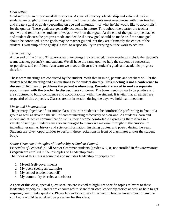## *Goal setting*

Goal setting is an important skill to success. As part of Journey's leadership and value education, students are taught to make personal goals. Each quarter students meet one-on-one with their teacher and create a goal or goals (depending on age and maturation) of what he/she would like to accomplish for the quarter. These goals are generally academic in nature. Throughout the quarter the teacher reviews and reminds the students of ways to work on their goal. At the end of the quarter, the teacher and student discuss the progress made and decide if a new goal should be made or if the same goal should be continued. These goals may be teacher guided, but they are ultimately the choice of the student. Ownership of the goal(s) is vital to responsibility in carrying out the work to achieve.

## *Team meetings*

At the end of the 1<sup>st</sup> and 3<sup>rd</sup> quarters team meetings are conducted. Team meetings include the student's team: teacher, parent(s), and student. We all have the same goal: to help the student be successful, responsible, and confident. As a team we meet to discuss the student's goals and academic progress thus far.

These team meetings are conducted by the student. With that in mind, parents and teachers will let the student lead the meeting and ask questions to the student directly. **This meeting is not a conference to discuss difficulties or problems the parent is observing**. **Parents are asked to make a separate appointment with the teacher to discuss these concerns**. The team meetings are to be positive and are structured to build confidence and accountability within the student. It is vital that all parties are respectful of this objective. Classes are not in session during the days we hold team meetings.

## *Music and Memorization*

The primary objective of our music class is to train students to be comfortable performing in front of a group as well as develop the skill of communicating effectively one-on-one. As students learn and understand effective communication skills, they become comfortable expressing themselves in a variety of settings. Students are also encouraged to memorize material throughout the curriculum including: grammar, history and science information, inspiring quotes, and poetry during the year. Students are given opportunities to perform these recitations in front of classmates and/or the student body.

# *Senior Grammar Principles of Leadership & Student Council*

*Principles of Leadership:* All Senior Grammar students (grades 6, 7, 8) not enrolled in *the Intervention Program* are enrolled in the Principles of Leadership class.

The focus of this class is four-fold and includes leadership principles for:

- 1. Myself (self-government)
- 2. My peers (being an example)
- 3. My school (student council)
- 4. My community (service and civics)

As part of this class, special guest speakers are invited to highlight specific topics relevant to these leadership principles. Parents are encouraged to share their own leadership stories as well as help to get inspiring community speakers. Please let our Principles of Leadership teacher know if you or anyone you know would be an effective presenter for this class.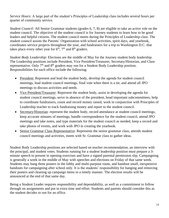*Service Hours*: A large part of the student's Principles of Leadership class includes several hours per quarter of community service.

*Student Council:* All Senior Grammar students (grades 6, 7, 8) are eligible to take an active role on the student council. The objective of the student council is for Journey students to learn how to be good leaders and helpful citizens. The student council meets during the Principles of Leadership class. The student council assists the Parents' Organization with school activities, spirit days, and yearbook, coordinates service projects throughout the year, and fundraisers for a trip to Washington D.C. that takes place every other year for  $6<sup>th</sup>$ ,  $7<sup>th</sup>$  and  $8<sup>th</sup>$  graders.

*Student Body Leadership*: Elections are the middle of May for the Journey student body leadership. The Leadership positions include President, Vice President/Treasurer, Secretary/Historian, and Class representative. Only  $7<sup>th</sup>$  and  $8<sup>th</sup>$  graders may run for a Student Body Leadership position. Responsibilities for each office include the following:

- President: Represent and lead the student body, develop the agenda for student council meetings, lead student council meetings, final vote when there is a tie, and attend all JPO meetings to discuss activities and needs.
- Vice President/Treasurer: Represent the student body, assist in developing the agenda for student council meetings, serve in absence of the president, head important subcommittees, help to coordinate fundraisers, count and record money raised, work in conjunction with Principles of Leadership teacher to track fundraising money and report to the student council.
- Secretary/Historian: represent the student body, record attendance at student council meetings, keep accurate minutes of meetings, handle correspondence for the student council, attend JPO meetings and take notes, and type materials for the student council as needed, keep a record and take photos of events, and work with JPO in creating the yearbook.
- Senior Grammar Class Representative: Represents the senior grammar class, attends student council meetings and activities, meets with Sr. Grammar class to gather ideas.

Student Body Leadership positions are selected based on teacher recommendation, an interview with the principal, and student votes. Students running for a student leadership position must prepare a 3 minute speech to present in opening exercises and have a signed parental permission slip. Campaigning is generally a week in the middle of May with speeches and elections on Friday of that same week. Students may hang three posters in the lobby and multi-purpose room, and handout small, inexpensive handouts for campaigning after school only. It is the students' responsibility for hanging and removing their posters and cleaning up campaign items in a timely manner. The election results will be announced at the end of that same day.

Being a Student Leader requires responsibility and dependability, as well as a commitment to follow through on assignments and put in extra time and effort. Students and parents should consider this as the student decides to run for an office.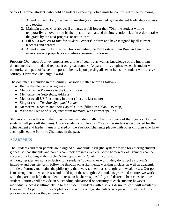Senior Grammar students who hold a Student Leadership office must be committed to the following:

- 1. Attend Student Body Leadership meetings as determined by the student leadership students and teacher.
- 2. Maintain grades C or above. If any grades fall lower than 70%, the student will be temporarily removed from his/her position and attend the intervention class in order to raise the grade by the next progress or report card.
- 3. Fill out a *Request to Run for Student Leadership* form and have it signed by all current teachers and parents.
- 4. Attend all major Journey functions including the Fall Festival, Fun Run, and any other events, service projects, or activities sponsored by Journey.

*Patriotic Challenge:* Journey emphasizes a love of country as well as knowledge of the important documents that formed and represent our great country. As part of this emphasizes each student will memorize and pass off several important items. Upon passing all seven items the student will receive Journey's Patriotic Challenge Award.

The documents included in the Journey Patriotic Challenge are as follows:

- Recite the Pledge of Allegiance
- Memorize the Preamble to the Constitution
- Memorize the Gettysburg Address
- Memorize all US Presidents, in order (first and last name)
- Sing or recite *The Star Spangled Banner*
- Memorize 50 States and their Capital Cities (filling in a blank US map)
- Write the Pledge of Allegiance from memory, with correct spelling

Students work on this with their class as well as individually. Over the course of their years at Journey students will pass off the items. Once a student completes all 7 items the student is recognized for the achievement and his/her name is placed on the Patriotic Challenge plaque with other children who have accomplished the Patriotic Challenge in the past.

# **ACADEMICS**

The Students and their parents are assigned a Gradelink login (the system we use for entering student grades) so that students and parents can track progress weekly. Some homework assignments can be accessed by looking at the teacher's homepage in the Gradelink system.

Although grades are not a reflection of a students' potential or worth, they do reflect a student's initiative and persistence in following through on assignments, working in class, as well as academic abilities. Journey maintains the philosophy that every student has strengths and weaknesses. Our goal is to strengthen the weaknesses and build upon the strengths. As students grow and mature, we work with the parent to help the student increase in his/her responsibility and desire to be a conscientious student. Journey will provide an outstanding educational opportunity to each student; however individual success is ultimately up to the student. Students with a strong desire to learn will inevitably learn more. As part of Journey's philosophy, we encourage students to recognize the vital part they play in every success they experience.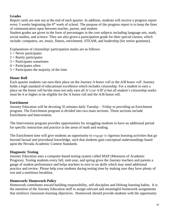## **Grades**

Report cards are sent out at the end of each quarter. In addition, students will receive a progress report every 3 weeks beginning the  $6<sup>th</sup>$  week of school. The purpose of the progress report is to keep the lines of communication open between teacher, parent, and student.

Student grades are given in the form of percentages in the core subjects including language arts, math, social studies, and science. They are also given a participation grade for their special classes, which include: computers, art, music, fitness, enrichment, STEAM, and leadership (for senior grammar).

Explanations of citizenship/ participation marks are as follows:

- $1 =$  Never participates
- $2 =$ Rarely participates
- $3$  = Participates sometimes
- $4$  = Participates often
- $5 =$  Participates the majority of the time

## **Honor Roll**

Each quarter students can earn their place on the Journey *A honor roll* or the *A/B honor roll*. Journey holds a high standard of educational excellence which includes citizenship. For a student to earn a place on the honor roll he/she must not only earn all A's (or A/B's) but all student's citizenship marks must be 4 or higher to be eligible for the A honor roll and the A/B honor roll.

## **Enrichment**

Journey Education will be devoting 35 minutes daily Tuesday – Friday to providing an Enrichment program. The Enrichment program is divided into two main sections. Those sections include Enrichment and Intervention.

The Intervention program provides opportunities for struggling students to have an additional period for specific instruction and practice in the areas of math and reading.

The Enrichment time will give students an opportunity to engage in rigorous learning activities that go beyond factual and procedural knowledge, such that students gain conceptual understandings based upon the Nevada Academic Content Standards.

## **Diagnostic Testing**

Journey Education uses a computer-based testing system called MAP (Measures of Academic Progress). Testing students every fall, mid-year, and spring gives the Journey teachers and parents a gauge of student performance and helps teachers to zero in on skills which may need additional practice and review. Please help your students during testing time by making sure they have plenty of rest and a nutritious breakfast.

## **Homework/ Homework Policy**

Homework contributes toward building responsibility, self-discipline and lifelong learning habits. It is the intention of the Journey Education staff to assign relevant and meaningful homework assignments that reinforce classroom learning objectives. Homework should provide students with the opportunity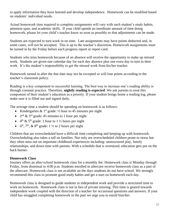to apply information they have learned and develop independence. Homework can be modified based on students' individual needs.

Actual homework time required to complete assignments will vary with each student's study habits, attention span, and academic skills. If your child spends an inordinate amount of time doing homework, please let your child's teacher know as soon as possible so that adjustments can be made.

Students are expected to turn work in on time. Late assignments may have points deducted and, in some cases, will not be accepted. This is up to the teacher's discretion. Homework assignments must be turned in by the Friday before each progress report or report card.

Students who miss homework because of an absence will receive the opportunity to make up missed work. Students are given one calendar day for each day absence plus one extra day to turn in their work. It's the student's responsibility to get the missed work from his/her teacher.

Homework turned in after the due date may not be excepted or will lose points according to the teacher's classroom policy.

Reading is a key component to successful learning. The best way to increase one's reading ability is through constant practice. Therefore, **nightly reading is expected**. We ask parents to treat this component of their student's education as a priority. If your student brings home a reading log, please make sure it is filled out and signed daily.

The average time a student should be spending on homework is as follows:

- Kindergarten & 1<sup>st</sup> grade: ½ hour to 45 minutes per night
- $2<sup>nd</sup>$  & 3<sup>rd</sup> grade: 45 minutes to 1 hour per night
- $4^{\text{th}} \& 5^{\text{th}}$  grade: 1 hour to 1 ½ hours per night
- $6<sup>th</sup>$ ,  $7<sup>th</sup>$ ,  $\&$   $8<sup>th</sup>$  grade: 1  $\frac{1}{2}$  to 2 hours per night

Children that are overscheduled have a difficult time completing and keeping up with homework. Overscheduling also takes a toll on families. Not only are overscheduled children prone to stress but they often miss out on important childhood experiences including: unstructured play, family relationships, and down time with parents. With a schedule that is overtaxed, education gets put on the back burner.

#### **Homework Class**

Journey offers an after-school homework class for a monthly fee. Homework class is Monday through Friday, from dismissal to 4:00 p.m. Students enrolled in aftercare receive homework class as a part of the aftercare. Homework class is not available on the days students do not have school. We strongly recommend this class to promote good study habits and get a start on homework each day.

Homework class is designed to guide students in independent work and provide a structured time to work on homework. Homework class is not in lieu of private tutoring. This time is geared towards independent work coupled with the direction of a teacher for occasional questions and answers. If your child has struggled completing homework in the past we urge you to enroll him/her.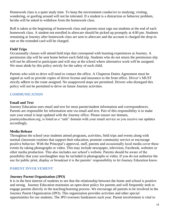Homework class is a quiet study time. To keep the environment conducive to studying; visiting, wandering, or goofing around will not be tolerated. If a student is a distraction or behavior problem, he/she will be asked to withdraw from the homework class.

Roll is taken at the beginning of homework class and parents must sign out students at the end of each homework class. A student not enrolled in aftercare should be picked up promptly at 4:00 pm. Students remaining at Journey after homework class are sent to aftercare and the account is charged the drop-in rate or the extended card will be charged.

# **Field Trips**

Occasionally classes will attend field trips that correspond with learning experiences at Journey. A permission slip will be sent home before each field trip. Students who do not return the permission slip will not be allowed to participate and will stay at the school where alternative work will be assigned. We must abide by this policy strictly for the safety of each child.

Parents who wish to drive will need to contact the office. A Chaperon Duties Agreement must be signed as well as provide copies of driver license and insurance to the front office. Driver's MUST strictly adhere to the route assigned. No unapproved stops are permitted. Drivers who disregard this policy will not be permitted to drive on future Journey activities.

# **COMMUNICATION**

## **Email and Text**

Journey Education uses email and text for most parent/student information and correspondences. Parents are responsible for information sent via email and text. Part of this responsibility is to make sure your email is kept updated with the Journey office. Please ensure our domain, journeyeducation.org, is listed as a "safe" domain with your email service so you receive our updates accordingly.

# **Media Release**

Throughout the school year students attend programs, activities, field trips and events along with normal classroom routines that support their education, promote community service or encourage positive behavior. With the Principal's approval, staff, parents and occasionally local media cover these events by taking photographs or video. This may include newspaper, television, Facebook, websites or other media production. This also includes our school's website. Parents should be aware of the possibility that your son/daughter may be included in photographs or video. If you do not authorize the use for public print, display or broadcast it is the parents' responsibility to let Journey Education know.

# **PARENT INVOLVEMENT**

# **Journey Parent Organization (JPO)**

It is in the best interest of students to see that the relationship between the home and school is positive and strong. Journey Education maintains an open-door policy for parents and will frequently seek to engage parents directly in the teaching/learning process. We encourage all parents to be involved in the Journey Parent Organization (JPO). This organization provides activities and other special opportunities for our students. The JPO oversees fundraisers each year. Parent involvement is vital to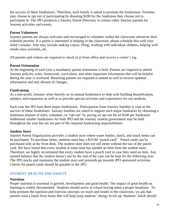the success of these fundraisers. Therefore, each family is asked to promote the fundraisers. Families may choose to opt out of participating by donating \$100 for the fundraiser they choose not to participate in. The JPO produces a Journey Parent Directory to contact other Journey parents for Journey activities and events.

#### **Parent Volunteers**

Journey parents are always welcome and encouraged to volunteer within the classroom whenever their schedule permits. If a parent is interested in helping in the classroom, please schedule this with your child's teacher. Jobs may include making copies, filing, working with individual children, helping with whole class activities, etc.

All parents and visitors are required to check in at front office and receive a visitor's tag.

## **Parent Orientation**

At the beginning of each year a mandatory parent orientation is held. Parents are required to attend. Journey policies, rules, homework, curriculum, and other important information that will be helpful during the year is reviewed. Returning parents are required to attend as well to receive updated information and stay abreast of changes.

## **Fundraising**

As a non-profit, Journey relies heavily on its annual fundraisers to help with building beautification, updates, and expansion as well as to provide special activities and experiences for our students.

Each year the JPO host three major fundraisers. Participation from Journey families is vital to the success of these fundraisers. Journey families are asked to support each major fundraiser by obtaining a minimum amount of sales, volunteer, or "opt out" by paying an opt out fee of \$100 per fundraiser. Additional smaller fundraisers for both JPO and the Journey student government may be held throughout the year but are not part of the required fundraising responsibilities.

# **Student Store**

Journey Parent Organization provides a student store where water bottles, lunch, and snack items can be purchased. To purchase items, students must buy a \$10.00 "punch card". Punch cards can be purchased only at the front desk. The student store does not sell items without the use of the punch card. We have found that every student at some time has needed an item from the student store. Therefore, we highly recommend that every student have a punch card in case they need an item. Any unused balance that the student doesn't use by the end of the year can be kept for the following year. The JPO stocks and maintains the student store and proceeds go towards JPO sponsored activities. Checks for punch cards should be payable to the JPO.

# **STUDENT HEALTH AND SAFETY**

## **Nutrition**

Proper nutrition is essential to growth, development and good health. The impact of good health on learning is widely documented. Students should arrive at school having eaten a proper breakfast. To help promote the nutrition and exercise concepts we teach and model in the classroom, we ask that parents send a lunch from home that will help keep students' energy levels up. Students' lunch should